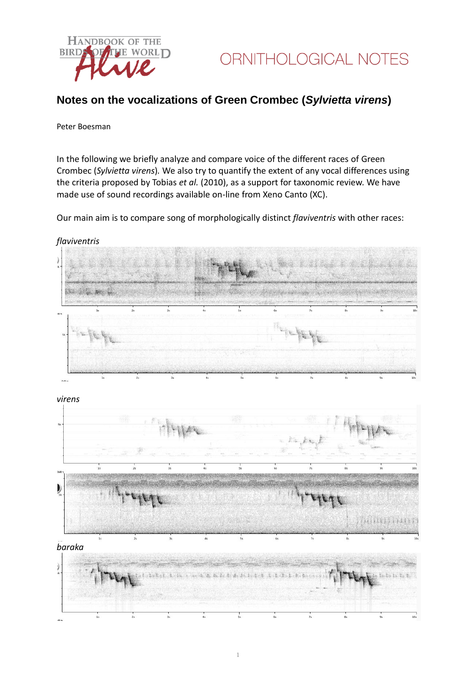

# **Notes on the vocalizations of Green Crombec (***Sylvietta virens***)**

#### Peter Boesman

In the following we briefly analyze and compare voice of the different races of Green Crombec (*Sylvietta virens*)*.* We also try to quantify the extent of any vocal differences using the criteria proposed by Tobias *et al.* (2010), as a support for taxonomic review. We have made use of sound recordings available on-line from Xeno Canto (XC).

Our main aim is to compare song of morphologically distinct *flaviventris* with other races: